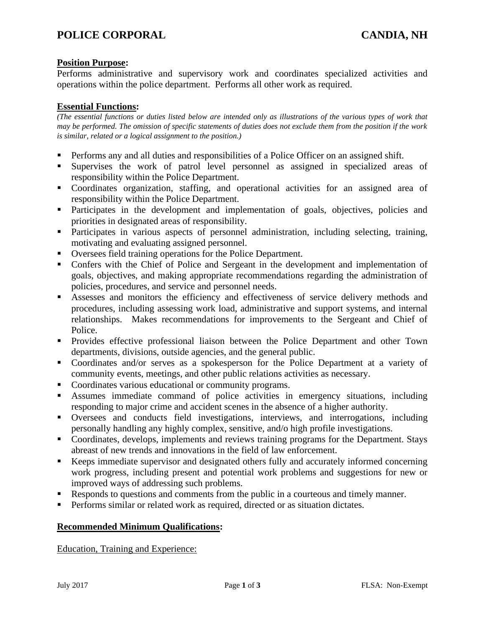# **Position Purpose:**

Performs administrative and supervisory work and coordinates specialized activities and operations within the police department. Performs all other work as required.

# **Essential Functions:**

*(The essential functions or duties listed below are intended only as illustrations of the various types of work that may be performed. The omission of specific statements of duties does not exclude them from the position if the work is similar, related or a logical assignment to the position.)*

- Performs any and all duties and responsibilities of a Police Officer on an assigned shift.
- Supervises the work of patrol level personnel as assigned in specialized areas of responsibility within the Police Department.
- Coordinates organization, staffing, and operational activities for an assigned area of responsibility within the Police Department.
- **•** Participates in the development and implementation of goals, objectives, policies and priorities in designated areas of responsibility.
- Participates in various aspects of personnel administration, including selecting, training, motivating and evaluating assigned personnel.
- Oversees field training operations for the Police Department.
- Confers with the Chief of Police and Sergeant in the development and implementation of goals, objectives, and making appropriate recommendations regarding the administration of policies, procedures, and service and personnel needs.
- Assesses and monitors the efficiency and effectiveness of service delivery methods and procedures, including assessing work load, administrative and support systems, and internal relationships. Makes recommendations for improvements to the Sergeant and Chief of Police.
- Provides effective professional liaison between the Police Department and other Town departments, divisions, outside agencies, and the general public.
- Coordinates and/or serves as a spokesperson for the Police Department at a variety of community events, meetings, and other public relations activities as necessary.
- Coordinates various educational or community programs.
- Assumes immediate command of police activities in emergency situations, including responding to major crime and accident scenes in the absence of a higher authority.
- Oversees and conducts field investigations, interviews, and interrogations, including personally handling any highly complex, sensitive, and/o high profile investigations.
- Coordinates, develops, implements and reviews training programs for the Department. Stays abreast of new trends and innovations in the field of law enforcement.
- Keeps immediate supervisor and designated others fully and accurately informed concerning work progress, including present and potential work problems and suggestions for new or improved ways of addressing such problems.
- Responds to questions and comments from the public in a courteous and timely manner.
- Performs similar or related work as required, directed or as situation dictates.

# **Recommended Minimum Qualifications:**

Education, Training and Experience: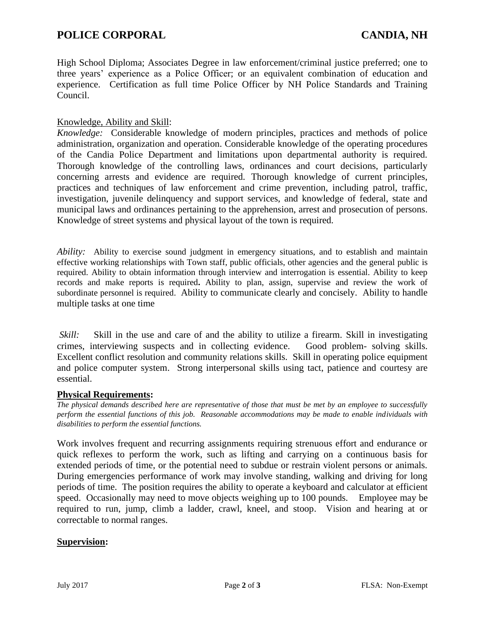High School Diploma; Associates Degree in law enforcement/criminal justice preferred; one to three years' experience as a Police Officer; or an equivalent combination of education and experience. Certification as full time Police Officer by NH Police Standards and Training Council.

#### Knowledge, Ability and Skill:

*Knowledge:* Considerable knowledge of modern principles, practices and methods of police administration, organization and operation. Considerable knowledge of the operating procedures of the Candia Police Department and limitations upon departmental authority is required. Thorough knowledge of the controlling laws, ordinances and court decisions, particularly concerning arrests and evidence are required. Thorough knowledge of current principles, practices and techniques of law enforcement and crime prevention, including patrol, traffic, investigation, juvenile delinquency and support services, and knowledge of federal, state and municipal laws and ordinances pertaining to the apprehension, arrest and prosecution of persons. Knowledge of street systems and physical layout of the town is required.

*Ability:* Ability to exercise sound judgment in emergency situations, and to establish and maintain effective working relationships with Town staff, public officials, other agencies and the general public is required. Ability to obtain information through interview and interrogation is essential. Ability to keep records and make reports is required**.** Ability to plan, assign, supervise and review the work of subordinate personnel is required. Ability to communicate clearly and concisely. Ability to handle multiple tasks at one time

*Skill:* Skill in the use and care of and the ability to utilize a firearm. Skill in investigating crimes, interviewing suspects and in collecting evidence. Good problem- solving skills. Excellent conflict resolution and community relations skills. Skill in operating police equipment and police computer system. Strong interpersonal skills using tact, patience and courtesy are essential.

#### **Physical Requirements:**

*The physical demands described here are representative of those that must be met by an employee to successfully perform the essential functions of this job. Reasonable accommodations may be made to enable individuals with disabilities to perform the essential functions.* 

Work involves frequent and recurring assignments requiring strenuous effort and endurance or quick reflexes to perform the work, such as lifting and carrying on a continuous basis for extended periods of time, or the potential need to subdue or restrain violent persons or animals. During emergencies performance of work may involve standing, walking and driving for long periods of time. The position requires the ability to operate a keyboard and calculator at efficient speed. Occasionally may need to move objects weighing up to 100 pounds. Employee may be required to run, jump, climb a ladder, crawl, kneel, and stoop. Vision and hearing at or correctable to normal ranges.

#### **Supervision:**